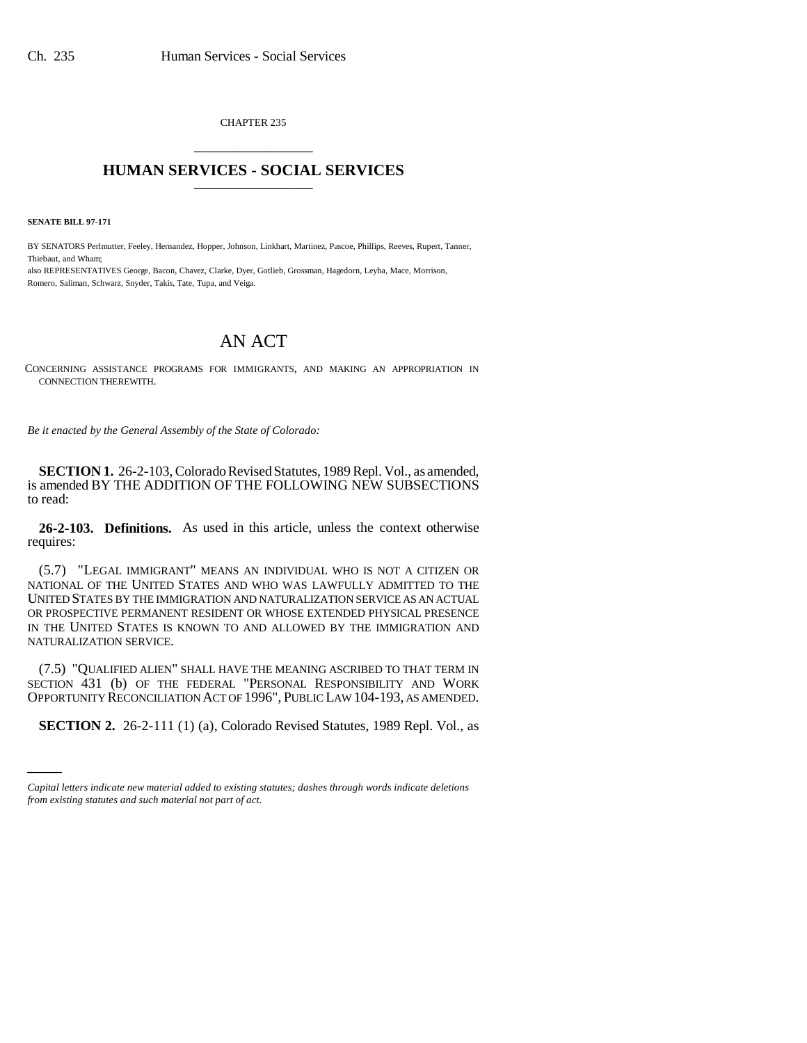CHAPTER 235 \_\_\_\_\_\_\_\_\_\_\_\_\_\_\_

## **HUMAN SERVICES - SOCIAL SERVICES** \_\_\_\_\_\_\_\_\_\_\_\_\_\_\_

**SENATE BILL 97-171**

BY SENATORS Perlmutter, Feeley, Hernandez, Hopper, Johnson, Linkhart, Martinez, Pascoe, Phillips, Reeves, Rupert, Tanner, Thiebaut, and Wham; also REPRESENTATIVES George, Bacon, Chavez, Clarke, Dyer, Gotlieb, Grossman, Hagedorn, Leyba, Mace, Morrison, Romero, Saliman, Schwarz, Snyder, Takis, Tate, Tupa, and Veiga.

## AN ACT

CONCERNING ASSISTANCE PROGRAMS FOR IMMIGRANTS, AND MAKING AN APPROPRIATION IN CONNECTION THEREWITH.

*Be it enacted by the General Assembly of the State of Colorado:*

**SECTION 1.** 26-2-103, Colorado Revised Statutes, 1989 Repl. Vol., as amended, is amended BY THE ADDITION OF THE FOLLOWING NEW SUBSECTIONS to read:

**26-2-103. Definitions.** As used in this article, unless the context otherwise requires:

(5.7) "LEGAL IMMIGRANT" MEANS AN INDIVIDUAL WHO IS NOT A CITIZEN OR NATIONAL OF THE UNITED STATES AND WHO WAS LAWFULLY ADMITTED TO THE UNITED STATES BY THE IMMIGRATION AND NATURALIZATION SERVICE AS AN ACTUAL OR PROSPECTIVE PERMANENT RESIDENT OR WHOSE EXTENDED PHYSICAL PRESENCE IN THE UNITED STATES IS KNOWN TO AND ALLOWED BY THE IMMIGRATION AND NATURALIZATION SERVICE.

OPPORTUNITY RECONCILIATION ACT OF 1996", PUBLIC LAW 104-193, AS AMENDED. (7.5) "QUALIFIED ALIEN" SHALL HAVE THE MEANING ASCRIBED TO THAT TERM IN SECTION 431 (b) OF THE FEDERAL "PERSONAL RESPONSIBILITY AND WORK

**SECTION 2.** 26-2-111 (1) (a), Colorado Revised Statutes, 1989 Repl. Vol., as

*Capital letters indicate new material added to existing statutes; dashes through words indicate deletions from existing statutes and such material not part of act.*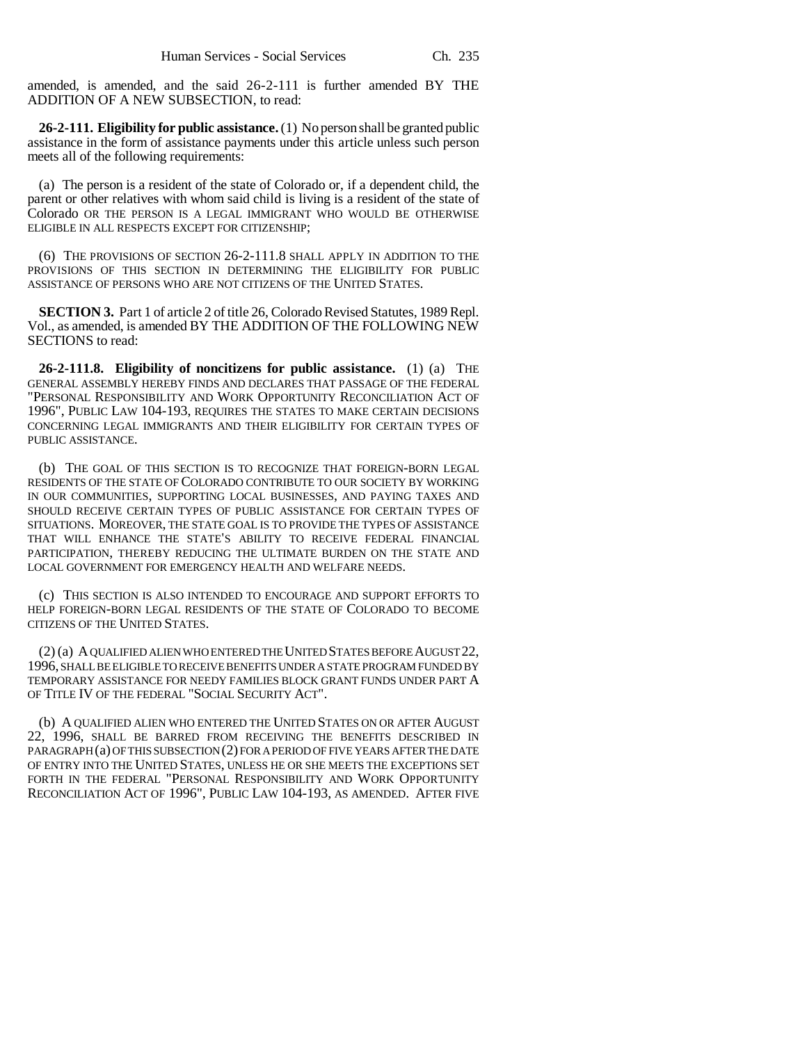amended, is amended, and the said 26-2-111 is further amended BY THE ADDITION OF A NEW SUBSECTION, to read:

**26-2-111. Eligibility for public assistance.** (1) No person shall be granted public assistance in the form of assistance payments under this article unless such person meets all of the following requirements:

(a) The person is a resident of the state of Colorado or, if a dependent child, the parent or other relatives with whom said child is living is a resident of the state of Colorado OR THE PERSON IS A LEGAL IMMIGRANT WHO WOULD BE OTHERWISE ELIGIBLE IN ALL RESPECTS EXCEPT FOR CITIZENSHIP;

(6) THE PROVISIONS OF SECTION 26-2-111.8 SHALL APPLY IN ADDITION TO THE PROVISIONS OF THIS SECTION IN DETERMINING THE ELIGIBILITY FOR PUBLIC ASSISTANCE OF PERSONS WHO ARE NOT CITIZENS OF THE UNITED STATES.

**SECTION 3.** Part 1 of article 2 of title 26, Colorado Revised Statutes, 1989 Repl. Vol., as amended, is amended BY THE ADDITION OF THE FOLLOWING NEW SECTIONS to read:

**26-2-111.8. Eligibility of noncitizens for public assistance.** (1) (a) THE GENERAL ASSEMBLY HEREBY FINDS AND DECLARES THAT PASSAGE OF THE FEDERAL "PERSONAL RESPONSIBILITY AND WORK OPPORTUNITY RECONCILIATION ACT OF 1996", PUBLIC LAW 104-193, REQUIRES THE STATES TO MAKE CERTAIN DECISIONS CONCERNING LEGAL IMMIGRANTS AND THEIR ELIGIBILITY FOR CERTAIN TYPES OF PUBLIC ASSISTANCE.

(b) THE GOAL OF THIS SECTION IS TO RECOGNIZE THAT FOREIGN-BORN LEGAL RESIDENTS OF THE STATE OF COLORADO CONTRIBUTE TO OUR SOCIETY BY WORKING IN OUR COMMUNITIES, SUPPORTING LOCAL BUSINESSES, AND PAYING TAXES AND SHOULD RECEIVE CERTAIN TYPES OF PUBLIC ASSISTANCE FOR CERTAIN TYPES OF SITUATIONS. MOREOVER, THE STATE GOAL IS TO PROVIDE THE TYPES OF ASSISTANCE THAT WILL ENHANCE THE STATE'S ABILITY TO RECEIVE FEDERAL FINANCIAL PARTICIPATION, THEREBY REDUCING THE ULTIMATE BURDEN ON THE STATE AND LOCAL GOVERNMENT FOR EMERGENCY HEALTH AND WELFARE NEEDS.

(c) THIS SECTION IS ALSO INTENDED TO ENCOURAGE AND SUPPORT EFFORTS TO HELP FOREIGN-BORN LEGAL RESIDENTS OF THE STATE OF COLORADO TO BECOME CITIZENS OF THE UNITED STATES.

(2) (a) A QUALIFIED ALIEN WHO ENTERED THE UNITED STATES BEFORE AUGUST 22, 1996, SHALL BE ELIGIBLE TO RECEIVE BENEFITS UNDER A STATE PROGRAM FUNDED BY TEMPORARY ASSISTANCE FOR NEEDY FAMILIES BLOCK GRANT FUNDS UNDER PART A OF TITLE IV OF THE FEDERAL "SOCIAL SECURITY ACT".

(b) A QUALIFIED ALIEN WHO ENTERED THE UNITED STATES ON OR AFTER AUGUST 22, 1996, SHALL BE BARRED FROM RECEIVING THE BENEFITS DESCRIBED IN PARAGRAPH (a) OF THIS SUBSECTION (2) FOR A PERIOD OF FIVE YEARS AFTER THE DATE OF ENTRY INTO THE UNITED STATES, UNLESS HE OR SHE MEETS THE EXCEPTIONS SET FORTH IN THE FEDERAL "PERSONAL RESPONSIBILITY AND WORK OPPORTUNITY RECONCILIATION ACT OF 1996", PUBLIC LAW 104-193, AS AMENDED. AFTER FIVE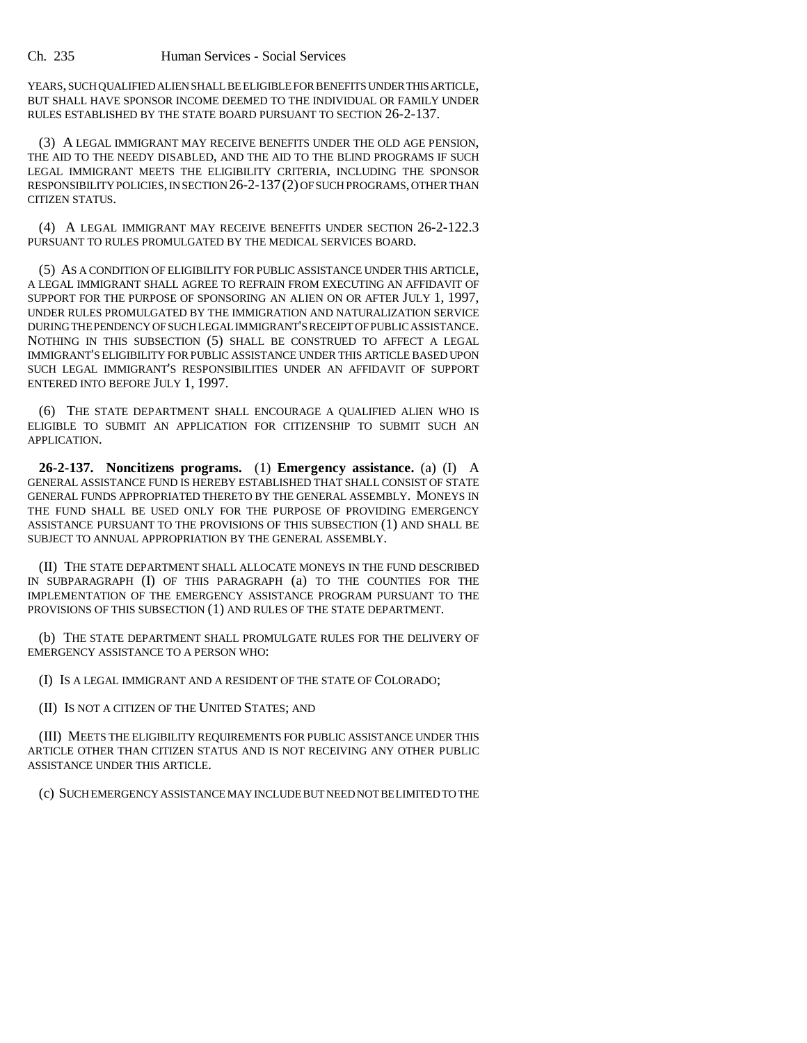YEARS, SUCH QUALIFIED ALIEN SHALL BE ELIGIBLE FOR BENEFITS UNDER THIS ARTICLE, BUT SHALL HAVE SPONSOR INCOME DEEMED TO THE INDIVIDUAL OR FAMILY UNDER RULES ESTABLISHED BY THE STATE BOARD PURSUANT TO SECTION 26-2-137.

(3) A LEGAL IMMIGRANT MAY RECEIVE BENEFITS UNDER THE OLD AGE PENSION, THE AID TO THE NEEDY DISABLED, AND THE AID TO THE BLIND PROGRAMS IF SUCH LEGAL IMMIGRANT MEETS THE ELIGIBILITY CRITERIA, INCLUDING THE SPONSOR RESPONSIBILITY POLICIES, IN SECTION 26-2-137(2) OF SUCH PROGRAMS, OTHER THAN CITIZEN STATUS.

(4) A LEGAL IMMIGRANT MAY RECEIVE BENEFITS UNDER SECTION 26-2-122.3 PURSUANT TO RULES PROMULGATED BY THE MEDICAL SERVICES BOARD.

(5) AS A CONDITION OF ELIGIBILITY FOR PUBLIC ASSISTANCE UNDER THIS ARTICLE, A LEGAL IMMIGRANT SHALL AGREE TO REFRAIN FROM EXECUTING AN AFFIDAVIT OF SUPPORT FOR THE PURPOSE OF SPONSORING AN ALIEN ON OR AFTER JULY 1, 1997, UNDER RULES PROMULGATED BY THE IMMIGRATION AND NATURALIZATION SERVICE DURING THE PENDENCY OF SUCH LEGAL IMMIGRANT'S RECEIPT OF PUBLIC ASSISTANCE. NOTHING IN THIS SUBSECTION (5) SHALL BE CONSTRUED TO AFFECT A LEGAL IMMIGRANT'S ELIGIBILITY FOR PUBLIC ASSISTANCE UNDER THIS ARTICLE BASED UPON SUCH LEGAL IMMIGRANT'S RESPONSIBILITIES UNDER AN AFFIDAVIT OF SUPPORT ENTERED INTO BEFORE JULY 1, 1997.

(6) THE STATE DEPARTMENT SHALL ENCOURAGE A QUALIFIED ALIEN WHO IS ELIGIBLE TO SUBMIT AN APPLICATION FOR CITIZENSHIP TO SUBMIT SUCH AN APPLICATION.

**26-2-137. Noncitizens programs.** (1) **Emergency assistance.** (a) (I) A GENERAL ASSISTANCE FUND IS HEREBY ESTABLISHED THAT SHALL CONSIST OF STATE GENERAL FUNDS APPROPRIATED THERETO BY THE GENERAL ASSEMBLY. MONEYS IN THE FUND SHALL BE USED ONLY FOR THE PURPOSE OF PROVIDING EMERGENCY ASSISTANCE PURSUANT TO THE PROVISIONS OF THIS SUBSECTION (1) AND SHALL BE SUBJECT TO ANNUAL APPROPRIATION BY THE GENERAL ASSEMBLY.

(II) THE STATE DEPARTMENT SHALL ALLOCATE MONEYS IN THE FUND DESCRIBED IN SUBPARAGRAPH (I) OF THIS PARAGRAPH (a) TO THE COUNTIES FOR THE IMPLEMENTATION OF THE EMERGENCY ASSISTANCE PROGRAM PURSUANT TO THE PROVISIONS OF THIS SUBSECTION (1) AND RULES OF THE STATE DEPARTMENT.

(b) THE STATE DEPARTMENT SHALL PROMULGATE RULES FOR THE DELIVERY OF EMERGENCY ASSISTANCE TO A PERSON WHO:

(I) IS A LEGAL IMMIGRANT AND A RESIDENT OF THE STATE OF COLORADO;

(II) IS NOT A CITIZEN OF THE UNITED STATES; AND

(III) MEETS THE ELIGIBILITY REQUIREMENTS FOR PUBLIC ASSISTANCE UNDER THIS ARTICLE OTHER THAN CITIZEN STATUS AND IS NOT RECEIVING ANY OTHER PUBLIC ASSISTANCE UNDER THIS ARTICLE.

(c) SUCH EMERGENCY ASSISTANCE MAY INCLUDE BUT NEED NOT BE LIMITED TO THE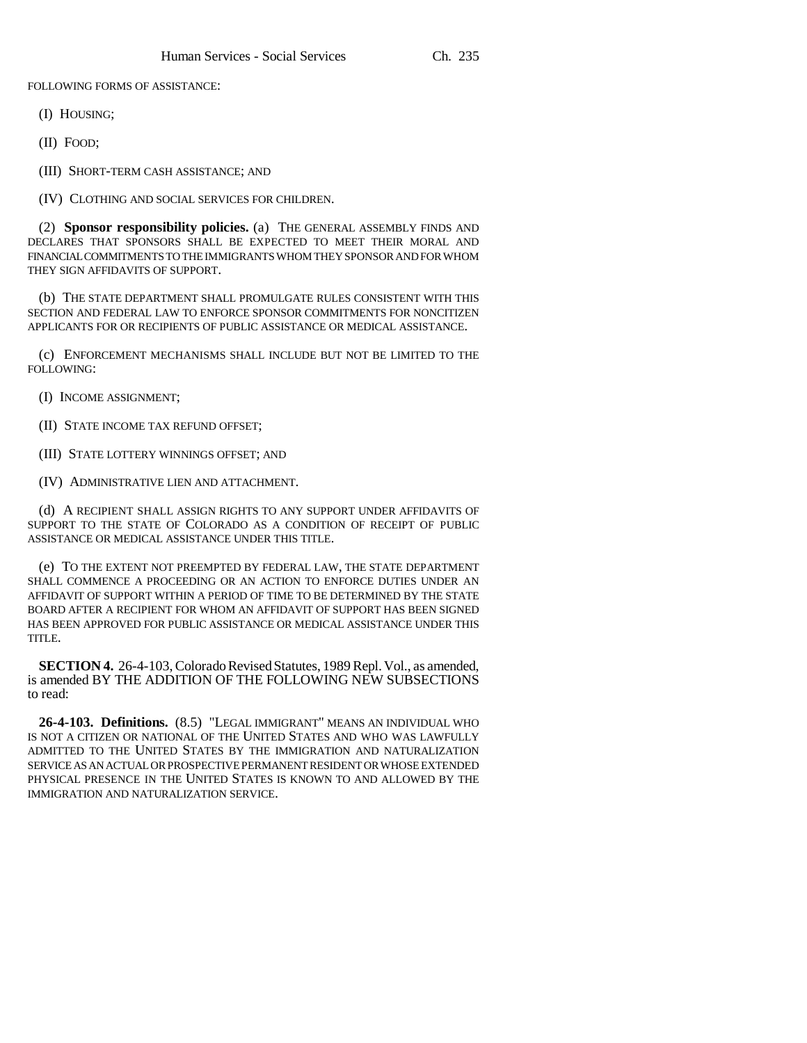FOLLOWING FORMS OF ASSISTANCE:

(I) HOUSING;

(II) FOOD;

(III) SHORT-TERM CASH ASSISTANCE; AND

(IV) CLOTHING AND SOCIAL SERVICES FOR CHILDREN.

(2) **Sponsor responsibility policies.** (a) THE GENERAL ASSEMBLY FINDS AND DECLARES THAT SPONSORS SHALL BE EXPECTED TO MEET THEIR MORAL AND FINANCIAL COMMITMENTS TO THE IMMIGRANTS WHOM THEY SPONSOR AND FOR WHOM THEY SIGN AFFIDAVITS OF SUPPORT.

(b) THE STATE DEPARTMENT SHALL PROMULGATE RULES CONSISTENT WITH THIS SECTION AND FEDERAL LAW TO ENFORCE SPONSOR COMMITMENTS FOR NONCITIZEN APPLICANTS FOR OR RECIPIENTS OF PUBLIC ASSISTANCE OR MEDICAL ASSISTANCE.

(c) ENFORCEMENT MECHANISMS SHALL INCLUDE BUT NOT BE LIMITED TO THE FOLLOWING:

(I) INCOME ASSIGNMENT;

(II) STATE INCOME TAX REFUND OFFSET;

(III) STATE LOTTERY WINNINGS OFFSET; AND

(IV) ADMINISTRATIVE LIEN AND ATTACHMENT.

(d) A RECIPIENT SHALL ASSIGN RIGHTS TO ANY SUPPORT UNDER AFFIDAVITS OF SUPPORT TO THE STATE OF COLORADO AS A CONDITION OF RECEIPT OF PUBLIC ASSISTANCE OR MEDICAL ASSISTANCE UNDER THIS TITLE.

(e) TO THE EXTENT NOT PREEMPTED BY FEDERAL LAW, THE STATE DEPARTMENT SHALL COMMENCE A PROCEEDING OR AN ACTION TO ENFORCE DUTIES UNDER AN AFFIDAVIT OF SUPPORT WITHIN A PERIOD OF TIME TO BE DETERMINED BY THE STATE BOARD AFTER A RECIPIENT FOR WHOM AN AFFIDAVIT OF SUPPORT HAS BEEN SIGNED HAS BEEN APPROVED FOR PUBLIC ASSISTANCE OR MEDICAL ASSISTANCE UNDER THIS TITLE.

**SECTION 4.** 26-4-103, Colorado Revised Statutes, 1989 Repl. Vol., as amended, is amended BY THE ADDITION OF THE FOLLOWING NEW SUBSECTIONS to read:

**26-4-103. Definitions.** (8.5) "LEGAL IMMIGRANT" MEANS AN INDIVIDUAL WHO IS NOT A CITIZEN OR NATIONAL OF THE UNITED STATES AND WHO WAS LAWFULLY ADMITTED TO THE UNITED STATES BY THE IMMIGRATION AND NATURALIZATION SERVICE AS AN ACTUAL OR PROSPECTIVE PERMANENT RESIDENT OR WHOSE EXTENDED PHYSICAL PRESENCE IN THE UNITED STATES IS KNOWN TO AND ALLOWED BY THE IMMIGRATION AND NATURALIZATION SERVICE.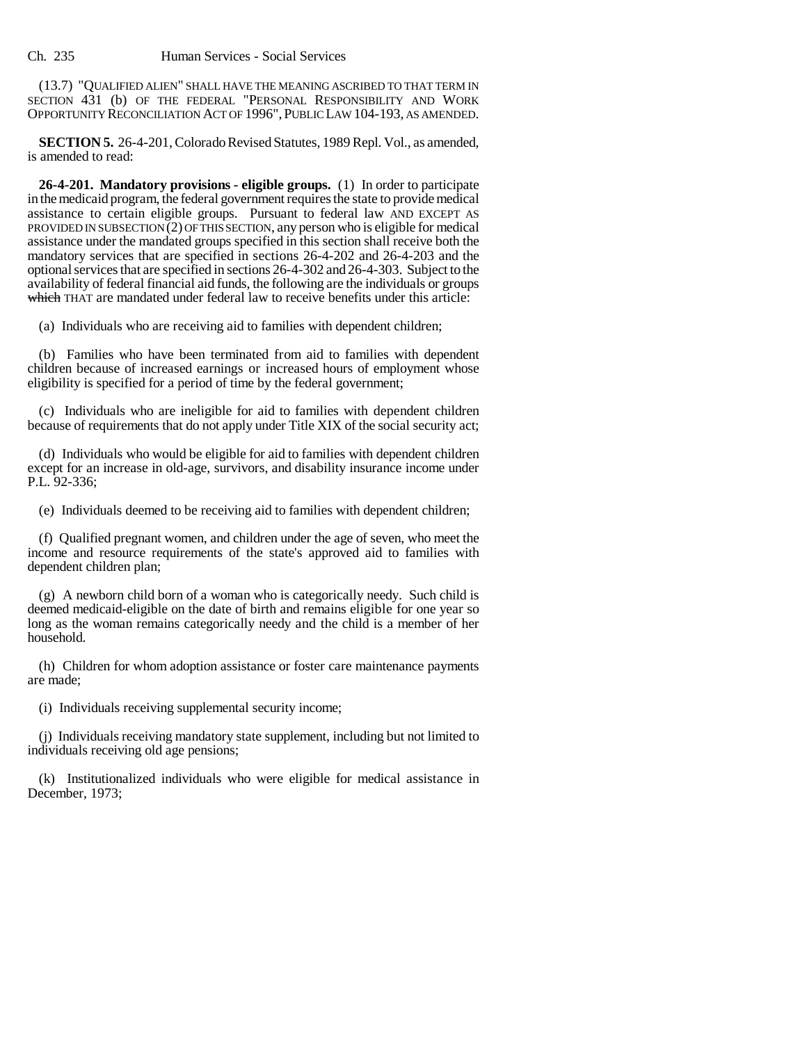Ch. 235 Human Services - Social Services

(13.7) "QUALIFIED ALIEN" SHALL HAVE THE MEANING ASCRIBED TO THAT TERM IN SECTION 431 (b) OF THE FEDERAL "PERSONAL RESPONSIBILITY AND WORK OPPORTUNITY RECONCILIATION ACT OF 1996",PUBLIC LAW 104-193, AS AMENDED.

**SECTION 5.** 26-4-201, Colorado Revised Statutes, 1989 Repl. Vol., as amended, is amended to read:

**26-4-201. Mandatory provisions - eligible groups.** (1) In order to participate in the medicaid program, the federal government requires the state to provide medical assistance to certain eligible groups. Pursuant to federal law AND EXCEPT AS PROVIDED IN SUBSECTION  $(2)$  OF THIS SECTION, any person who is eligible for medical assistance under the mandated groups specified in this section shall receive both the mandatory services that are specified in sections 26-4-202 and 26-4-203 and the optional services that are specified in sections 26-4-302 and 26-4-303. Subject to the availability of federal financial aid funds, the following are the individuals or groups which THAT are mandated under federal law to receive benefits under this article:

(a) Individuals who are receiving aid to families with dependent children;

(b) Families who have been terminated from aid to families with dependent children because of increased earnings or increased hours of employment whose eligibility is specified for a period of time by the federal government;

(c) Individuals who are ineligible for aid to families with dependent children because of requirements that do not apply under Title XIX of the social security act;

(d) Individuals who would be eligible for aid to families with dependent children except for an increase in old-age, survivors, and disability insurance income under P.L. 92-336;

(e) Individuals deemed to be receiving aid to families with dependent children;

(f) Qualified pregnant women, and children under the age of seven, who meet the income and resource requirements of the state's approved aid to families with dependent children plan;

(g) A newborn child born of a woman who is categorically needy. Such child is deemed medicaid-eligible on the date of birth and remains eligible for one year so long as the woman remains categorically needy and the child is a member of her household.

(h) Children for whom adoption assistance or foster care maintenance payments are made;

(i) Individuals receiving supplemental security income;

(j) Individuals receiving mandatory state supplement, including but not limited to individuals receiving old age pensions;

(k) Institutionalized individuals who were eligible for medical assistance in December, 1973;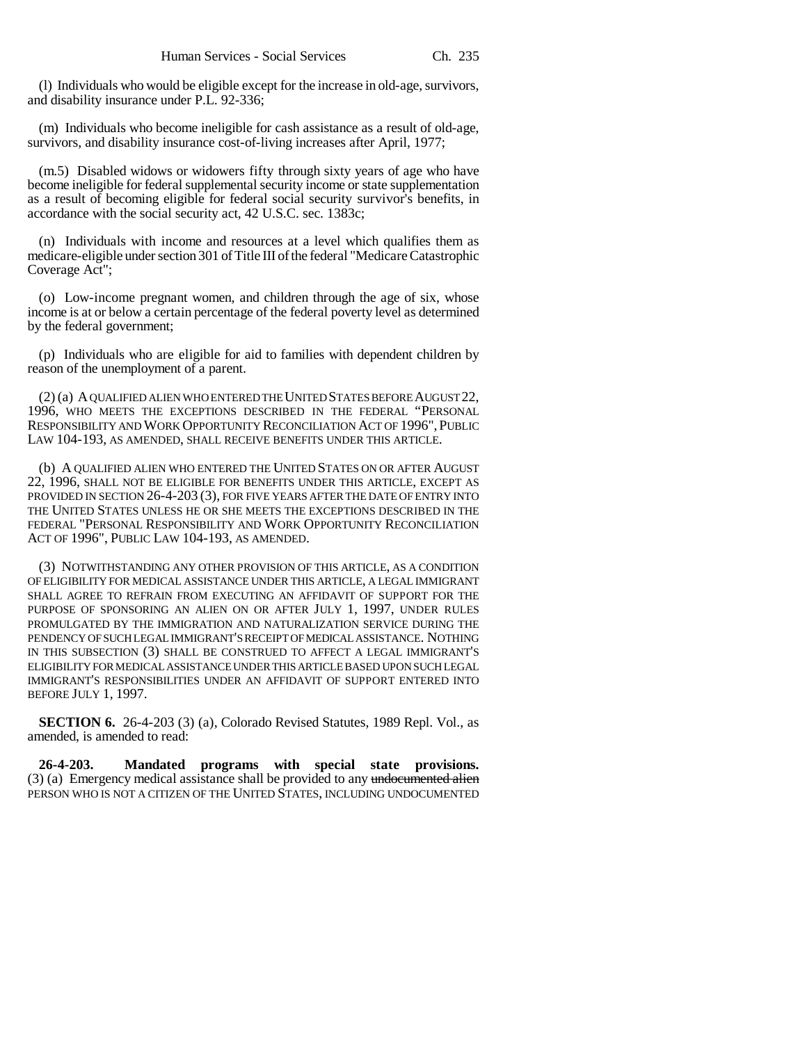(l) Individuals who would be eligible except for the increase in old-age, survivors, and disability insurance under P.L. 92-336;

(m) Individuals who become ineligible for cash assistance as a result of old-age, survivors, and disability insurance cost-of-living increases after April, 1977;

(m.5) Disabled widows or widowers fifty through sixty years of age who have become ineligible for federal supplemental security income or state supplementation as a result of becoming eligible for federal social security survivor's benefits, in accordance with the social security act, 42 U.S.C. sec. 1383c;

(n) Individuals with income and resources at a level which qualifies them as medicare-eligible under section 301 of Title III of the federal "Medicare Catastrophic Coverage Act";

(o) Low-income pregnant women, and children through the age of six, whose income is at or below a certain percentage of the federal poverty level as determined by the federal government;

(p) Individuals who are eligible for aid to families with dependent children by reason of the unemployment of a parent.

(2) (a) A QUALIFIED ALIEN WHO ENTERED THE UNITED STATES BEFORE AUGUST 22, 1996, WHO MEETS THE EXCEPTIONS DESCRIBED IN THE FEDERAL "PERSONAL RESPONSIBILITY AND WORK OPPORTUNITY RECONCILIATION ACT OF 1996", PUBLIC LAW 104-193, AS AMENDED, SHALL RECEIVE BENEFITS UNDER THIS ARTICLE.

(b) A QUALIFIED ALIEN WHO ENTERED THE UNITED STATES ON OR AFTER AUGUST 22, 1996, SHALL NOT BE ELIGIBLE FOR BENEFITS UNDER THIS ARTICLE, EXCEPT AS PROVIDED IN SECTION 26-4-203 (3), FOR FIVE YEARS AFTER THE DATE OF ENTRY INTO THE UNITED STATES UNLESS HE OR SHE MEETS THE EXCEPTIONS DESCRIBED IN THE FEDERAL "PERSONAL RESPONSIBILITY AND WORK OPPORTUNITY RECONCILIATION ACT OF 1996", PUBLIC LAW 104-193, AS AMENDED.

(3) NOTWITHSTANDING ANY OTHER PROVISION OF THIS ARTICLE, AS A CONDITION OF ELIGIBILITY FOR MEDICAL ASSISTANCE UNDER THIS ARTICLE, A LEGAL IMMIGRANT SHALL AGREE TO REFRAIN FROM EXECUTING AN AFFIDAVIT OF SUPPORT FOR THE PURPOSE OF SPONSORING AN ALIEN ON OR AFTER JULY 1, 1997, UNDER RULES PROMULGATED BY THE IMMIGRATION AND NATURALIZATION SERVICE DURING THE PENDENCY OF SUCH LEGAL IMMIGRANT'S RECEIPT OF MEDICAL ASSISTANCE. NOTHING IN THIS SUBSECTION (3) SHALL BE CONSTRUED TO AFFECT A LEGAL IMMIGRANT'S ELIGIBILITY FOR MEDICAL ASSISTANCE UNDER THIS ARTICLE BASED UPON SUCH LEGAL IMMIGRANT'S RESPONSIBILITIES UNDER AN AFFIDAVIT OF SUPPORT ENTERED INTO BEFORE JULY 1, 1997.

**SECTION 6.** 26-4-203 (3) (a), Colorado Revised Statutes, 1989 Repl. Vol., as amended, is amended to read:

**26-4-203. Mandated programs with special state provisions.** (3) (a) Emergency medical assistance shall be provided to any undocumented alien PERSON WHO IS NOT A CITIZEN OF THE UNITED STATES, INCLUDING UNDOCUMENTED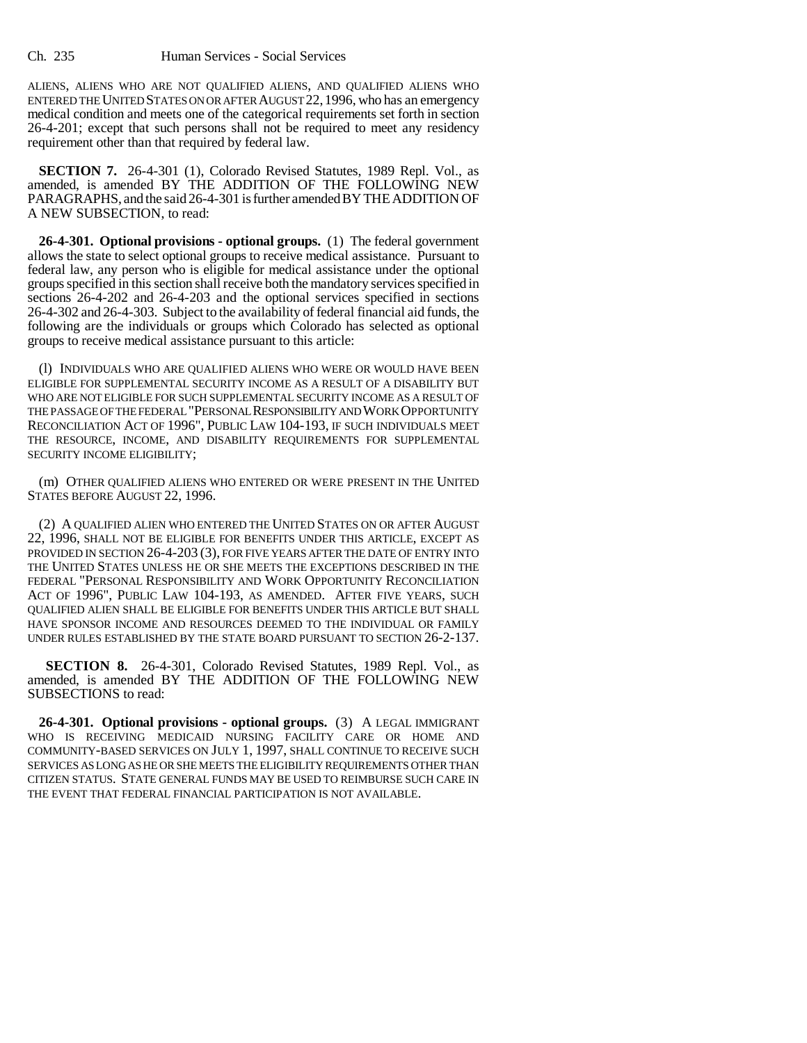ALIENS, ALIENS WHO ARE NOT QUALIFIED ALIENS, AND QUALIFIED ALIENS WHO ENTERED THE UNITED STATES ON OR AFTER AUGUST 22,1996, who has an emergency medical condition and meets one of the categorical requirements set forth in section 26-4-201; except that such persons shall not be required to meet any residency requirement other than that required by federal law.

**SECTION 7.** 26-4-301 (1), Colorado Revised Statutes, 1989 Repl. Vol., as amended, is amended BY THE ADDITION OF THE FOLLOWING NEW PARAGRAPHS, and the said 26-4-301 is further amended BY THE ADDITION OF A NEW SUBSECTION, to read:

**26-4-301. Optional provisions - optional groups.** (1) The federal government allows the state to select optional groups to receive medical assistance. Pursuant to federal law, any person who is eligible for medical assistance under the optional groups specified in this section shall receive both the mandatory services specified in sections 26-4-202 and 26-4-203 and the optional services specified in sections 26-4-302 and 26-4-303. Subject to the availability of federal financial aid funds, the following are the individuals or groups which Colorado has selected as optional groups to receive medical assistance pursuant to this article:

(l) INDIVIDUALS WHO ARE QUALIFIED ALIENS WHO WERE OR WOULD HAVE BEEN ELIGIBLE FOR SUPPLEMENTAL SECURITY INCOME AS A RESULT OF A DISABILITY BUT WHO ARE NOT ELIGIBLE FOR SUCH SUPPLEMENTAL SECURITY INCOME AS A RESULT OF THE PASSAGE OF THE FEDERAL "PERSONAL RESPONSIBILITY AND WORK OPPORTUNITY RECONCILIATION ACT OF 1996", PUBLIC LAW 104-193, IF SUCH INDIVIDUALS MEET THE RESOURCE, INCOME, AND DISABILITY REQUIREMENTS FOR SUPPLEMENTAL SECURITY INCOME ELIGIBILITY;

(m) OTHER QUALIFIED ALIENS WHO ENTERED OR WERE PRESENT IN THE UNITED STATES BEFORE AUGUST 22, 1996.

(2) A QUALIFIED ALIEN WHO ENTERED THE UNITED STATES ON OR AFTER AUGUST 22, 1996, SHALL NOT BE ELIGIBLE FOR BENEFITS UNDER THIS ARTICLE, EXCEPT AS PROVIDED IN SECTION 26-4-203 (3), FOR FIVE YEARS AFTER THE DATE OF ENTRY INTO THE UNITED STATES UNLESS HE OR SHE MEETS THE EXCEPTIONS DESCRIBED IN THE FEDERAL "PERSONAL RESPONSIBILITY AND WORK OPPORTUNITY RECONCILIATION ACT OF 1996", PUBLIC LAW 104-193, AS AMENDED. AFTER FIVE YEARS, SUCH QUALIFIED ALIEN SHALL BE ELIGIBLE FOR BENEFITS UNDER THIS ARTICLE BUT SHALL HAVE SPONSOR INCOME AND RESOURCES DEEMED TO THE INDIVIDUAL OR FAMILY UNDER RULES ESTABLISHED BY THE STATE BOARD PURSUANT TO SECTION 26-2-137.

 **SECTION 8.** 26-4-301, Colorado Revised Statutes, 1989 Repl. Vol., as amended, is amended BY THE ADDITION OF THE FOLLOWING NEW SUBSECTIONS to read:

**26-4-301. Optional provisions - optional groups.** (3) A LEGAL IMMIGRANT WHO IS RECEIVING MEDICAID NURSING FACILITY CARE OR HOME AND COMMUNITY-BASED SERVICES ON JULY 1, 1997, SHALL CONTINUE TO RECEIVE SUCH SERVICES AS LONG AS HE OR SHE MEETS THE ELIGIBILITY REQUIREMENTS OTHER THAN CITIZEN STATUS. STATE GENERAL FUNDS MAY BE USED TO REIMBURSE SUCH CARE IN THE EVENT THAT FEDERAL FINANCIAL PARTICIPATION IS NOT AVAILABLE.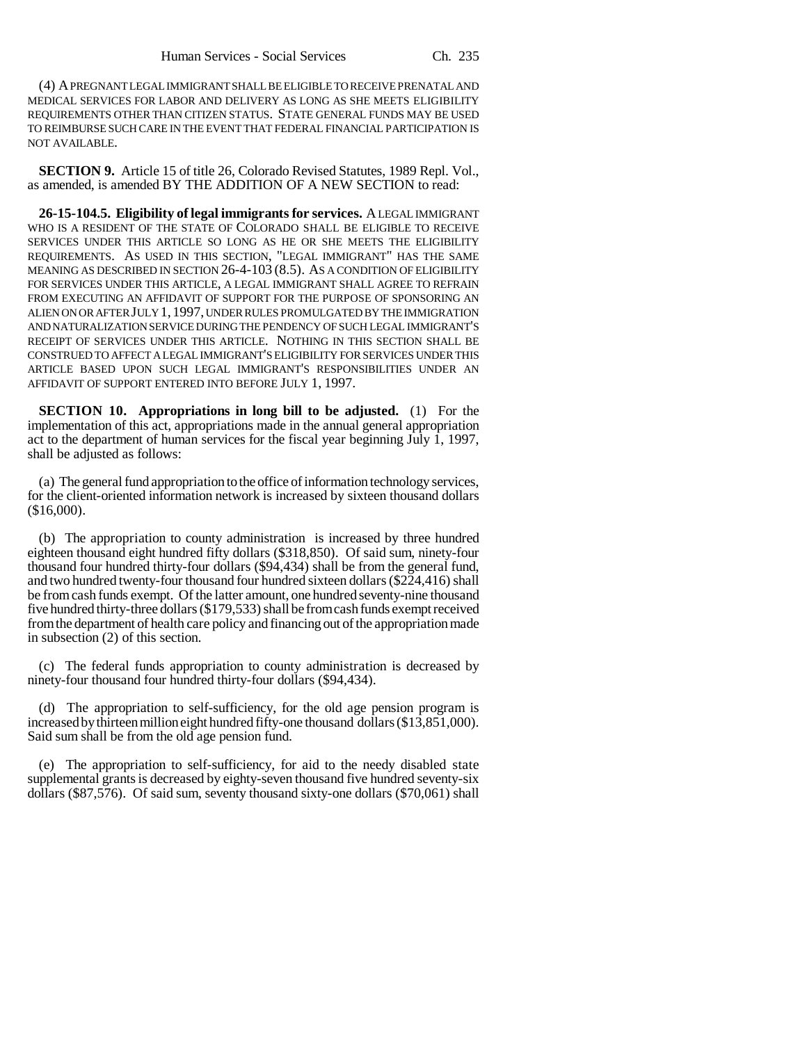(4) A PREGNANT LEGAL IMMIGRANT SHALL BE ELIGIBLE TO RECEIVE PRENATAL AND MEDICAL SERVICES FOR LABOR AND DELIVERY AS LONG AS SHE MEETS ELIGIBILITY REQUIREMENTS OTHER THAN CITIZEN STATUS. STATE GENERAL FUNDS MAY BE USED TO REIMBURSE SUCH CARE IN THE EVENT THAT FEDERAL FINANCIAL PARTICIPATION IS NOT AVAILABLE.

**SECTION 9.** Article 15 of title 26, Colorado Revised Statutes, 1989 Repl. Vol., as amended, is amended BY THE ADDITION OF A NEW SECTION to read:

**26-15-104.5. Eligibility of legal immigrants for services.** A LEGAL IMMIGRANT WHO IS A RESIDENT OF THE STATE OF COLORADO SHALL BE ELIGIBLE TO RECEIVE SERVICES UNDER THIS ARTICLE SO LONG AS HE OR SHE MEETS THE ELIGIBILITY REQUIREMENTS. AS USED IN THIS SECTION, "LEGAL IMMIGRANT" HAS THE SAME MEANING AS DESCRIBED IN SECTION 26-4-103 (8.5). AS A CONDITION OF ELIGIBILITY FOR SERVICES UNDER THIS ARTICLE, A LEGAL IMMIGRANT SHALL AGREE TO REFRAIN FROM EXECUTING AN AFFIDAVIT OF SUPPORT FOR THE PURPOSE OF SPONSORING AN ALIEN ON OR AFTER JULY 1,1997, UNDER RULES PROMULGATED BY THE IMMIGRATION AND NATURALIZATION SERVICE DURING THE PENDENCY OF SUCH LEGAL IMMIGRANT'S RECEIPT OF SERVICES UNDER THIS ARTICLE. NOTHING IN THIS SECTION SHALL BE CONSTRUED TO AFFECT A LEGAL IMMIGRANT'S ELIGIBILITY FOR SERVICES UNDER THIS ARTICLE BASED UPON SUCH LEGAL IMMIGRANT'S RESPONSIBILITIES UNDER AN AFFIDAVIT OF SUPPORT ENTERED INTO BEFORE JULY 1, 1997.

**SECTION 10. Appropriations in long bill to be adjusted.** (1) For the implementation of this act, appropriations made in the annual general appropriation act to the department of human services for the fiscal year beginning July 1, 1997, shall be adjusted as follows:

(a) The general fund appropriation to the office of information technology services, for the client-oriented information network is increased by sixteen thousand dollars (\$16,000).

(b) The appropriation to county administration is increased by three hundred eighteen thousand eight hundred fifty dollars (\$318,850). Of said sum, ninety-four thousand four hundred thirty-four dollars (\$94,434) shall be from the general fund, and two hundred twenty-four thousand four hundred sixteen dollars (\$224,416) shall be from cash funds exempt. Of the latter amount, one hundred seventy-nine thousand five hundred thirty-three dollars (\$179,533) shall be from cash funds exempt received from the department of health care policy and financing out of the appropriation made in subsection (2) of this section.

(c) The federal funds appropriation to county administration is decreased by ninety-four thousand four hundred thirty-four dollars (\$94,434).

(d) The appropriation to self-sufficiency, for the old age pension program is increased by thirteen million eight hundred fifty-one thousand dollars (\$13,851,000). Said sum shall be from the old age pension fund.

(e) The appropriation to self-sufficiency, for aid to the needy disabled state supplemental grants is decreased by eighty-seven thousand five hundred seventy-six dollars (\$87,576). Of said sum, seventy thousand sixty-one dollars (\$70,061) shall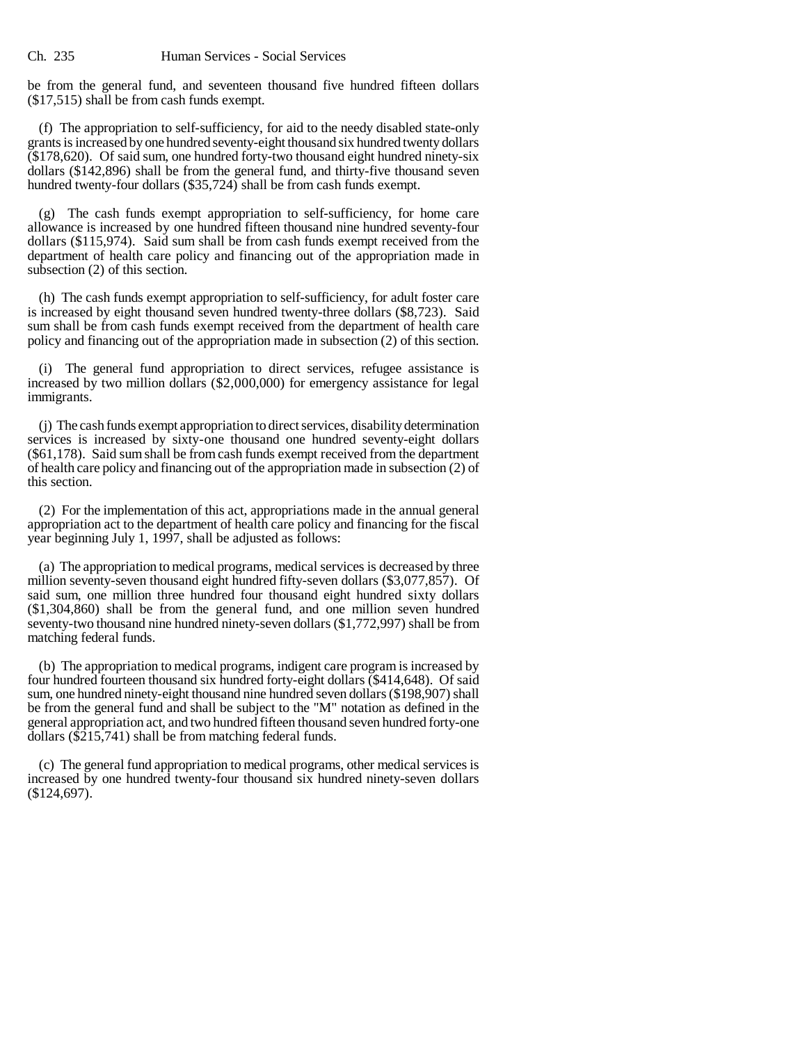be from the general fund, and seventeen thousand five hundred fifteen dollars (\$17,515) shall be from cash funds exempt.

(f) The appropriation to self-sufficiency, for aid to the needy disabled state-only grants is increased by one hundred seventy-eight thousand six hundred twenty dollars (\$178,620). Of said sum, one hundred forty-two thousand eight hundred ninety-six dollars (\$142,896) shall be from the general fund, and thirty-five thousand seven hundred twenty-four dollars (\$35,724) shall be from cash funds exempt.

(g) The cash funds exempt appropriation to self-sufficiency, for home care allowance is increased by one hundred fifteen thousand nine hundred seventy-four dollars (\$115,974). Said sum shall be from cash funds exempt received from the department of health care policy and financing out of the appropriation made in subsection (2) of this section.

(h) The cash funds exempt appropriation to self-sufficiency, for adult foster care is increased by eight thousand seven hundred twenty-three dollars (\$8,723). Said sum shall be from cash funds exempt received from the department of health care policy and financing out of the appropriation made in subsection (2) of this section.

(i) The general fund appropriation to direct services, refugee assistance is increased by two million dollars (\$2,000,000) for emergency assistance for legal immigrants.

(j) The cash funds exempt appropriation to direct services, disability determination services is increased by sixty-one thousand one hundred seventy-eight dollars (\$61,178). Said sum shall be from cash funds exempt received from the department of health care policy and financing out of the appropriation made in subsection (2) of this section.

(2) For the implementation of this act, appropriations made in the annual general appropriation act to the department of health care policy and financing for the fiscal year beginning July 1, 1997, shall be adjusted as follows:

(a) The appropriation to medical programs, medical services is decreased by three million seventy-seven thousand eight hundred fifty-seven dollars (\$3,077,857). Of said sum, one million three hundred four thousand eight hundred sixty dollars (\$1,304,860) shall be from the general fund, and one million seven hundred seventy-two thousand nine hundred ninety-seven dollars (\$1,772,997) shall be from matching federal funds.

(b) The appropriation to medical programs, indigent care program is increased by four hundred fourteen thousand six hundred forty-eight dollars (\$414,648). Of said sum, one hundred ninety-eight thousand nine hundred seven dollars (\$198,907) shall be from the general fund and shall be subject to the "M" notation as defined in the general appropriation act, and two hundred fifteen thousand seven hundred forty-one dollars (\$215,741) shall be from matching federal funds.

(c) The general fund appropriation to medical programs, other medical services is increased by one hundred twenty-four thousand six hundred ninety-seven dollars (\$124,697).